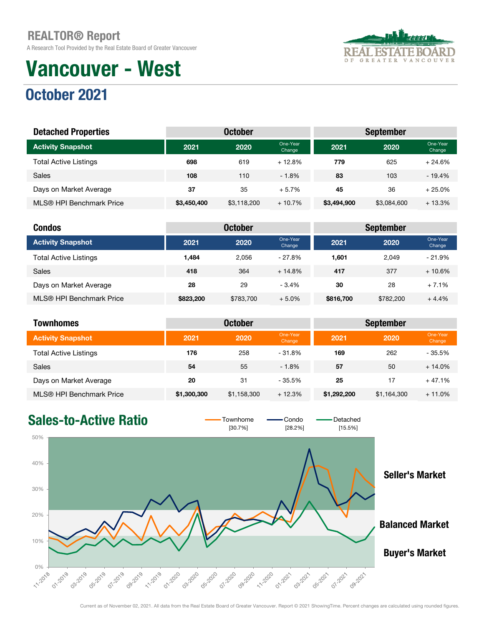A Research Tool Provided by the Real Estate Board of Greater Vancouver

# Vancouver - West





| <b>Detached Properties</b>   |             | <b>October</b> |                    | <b>September</b> |             |                    |  |
|------------------------------|-------------|----------------|--------------------|------------------|-------------|--------------------|--|
| <b>Activity Snapshot</b>     | 2021        | 2020           | One-Year<br>Change | 2021             | 2020        | One-Year<br>Change |  |
| <b>Total Active Listings</b> | 698         | 619            | $+12.8%$           | 779              | 625         | $+24.6%$           |  |
| <b>Sales</b>                 | 108         | 110            | $-1.8%$            | 83               | 103         | $-19.4%$           |  |
| Days on Market Average       | 37          | 35             | $+5.7%$            | 45               | 36          | $+25.0%$           |  |
| MLS® HPI Benchmark Price     | \$3,450,400 | \$3,118,200    | $+10.7%$           | \$3,494,900      | \$3,084,600 | $+13.3%$           |  |

| <b>Condos</b>                |           | <b>October</b> |                    |           | <b>September</b> |                    |
|------------------------------|-----------|----------------|--------------------|-----------|------------------|--------------------|
| <b>Activity Snapshot</b>     | 2021      | 2020           | One-Year<br>Change | 2021      | 2020             | One-Year<br>Change |
| <b>Total Active Listings</b> | 1.484     | 2.056          | $-27.8\%$          | 1.601     | 2.049            | $-21.9%$           |
| Sales                        | 418       | 364            | $+14.8%$           | 417       | 377              | $+10.6%$           |
| Days on Market Average       | 28        | 29             | $-3.4%$            | 30        | 28               | $+7.1%$            |
| MLS® HPI Benchmark Price     | \$823,200 | \$783,700      | $+5.0%$            | \$816,700 | \$782,200        | $+4.4%$            |

| <b>Townhomes</b>             |             | <b>October</b> |                    | <b>September</b> |             |                    |  |  |
|------------------------------|-------------|----------------|--------------------|------------------|-------------|--------------------|--|--|
| <b>Activity Snapshot</b>     | 2021        | 2020           | One-Year<br>Change | 2021             | 2020        | One-Year<br>Change |  |  |
| <b>Total Active Listings</b> | 176         | 258            | $-31.8%$           | 169              | 262         | $-35.5%$           |  |  |
| <b>Sales</b>                 | 54          | 55             | $-1.8%$            | 57               | 50          | $+14.0%$           |  |  |
| Days on Market Average       | 20          | 31             | $-35.5%$           | 25               | 17          | $+47.1%$           |  |  |
| MLS® HPI Benchmark Price     | \$1,300,300 | \$1,158,300    | $+12.3%$           | \$1,292,200      | \$1,164,300 | $+11.0%$           |  |  |



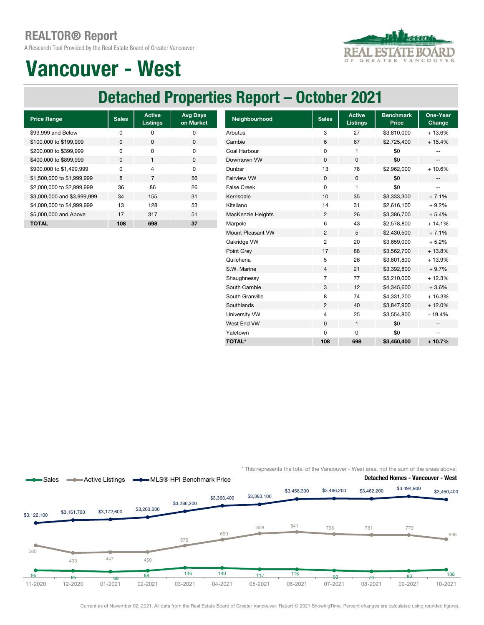A Research Tool Provided by the Real Estate Board of Greater Vancouver



## Vancouver - West

### Detached Properties Report – October 2021

| <b>Price Range</b>          | <b>Sales</b> | <b>Active</b><br><b>Listings</b> | <b>Avg Days</b><br>on Market |
|-----------------------------|--------------|----------------------------------|------------------------------|
| \$99,999 and Below          | ŋ            | ŋ                                | ŋ                            |
| \$100,000 to \$199,999      | 0            | O                                | $\Omega$                     |
| \$200,000 to \$399,999      | ŋ            | ŋ                                | O                            |
| \$400,000 to \$899,999      | $\Omega$     | 1                                | <sup>0</sup>                 |
| \$900,000 to \$1,499,999    | ŋ            | 4                                | O                            |
| \$1,500,000 to \$1,999,999  | 8            | 7                                | 56                           |
| \$2,000,000 to \$2,999,999  | 36           | 86                               | 26                           |
| \$3,000,000 and \$3,999,999 | 34           | 155                              | 31                           |
| \$4,000,000 to \$4,999,999  | 13           | 128                              | 53                           |
| \$5,000,000 and Above       | 17           | 317                              | 51                           |
| TOTAL                       | 108          | 698                              | 37                           |

| <b>Price Range</b>          | <b>Sales</b> | <b>Active</b><br><b>Listings</b> | <b>Avg Days</b><br>on Market | Neighbourhood      | <b>Sales</b>   | <b>Active</b><br><b>Listings</b> | <b>Benchmark</b><br><b>Price</b> | One-Year<br>Change       |
|-----------------------------|--------------|----------------------------------|------------------------------|--------------------|----------------|----------------------------------|----------------------------------|--------------------------|
| \$99,999 and Below          | 0            | 0                                | 0                            | Arbutus            | 3              | 27                               | \$3,810,000                      | $+13.6%$                 |
| \$100,000 to \$199,999      | 0            | 0                                | 0                            | Cambie             | 6              | 67                               | \$2,725,400                      | $+15.4%$                 |
| \$200,000 to \$399,999      | 0            | 0                                | 0                            | Coal Harbour       | 0              |                                  | \$0                              |                          |
| \$400,000 to \$899,999      | 0            | $\mathbf{1}$                     | $\pmb{0}$                    | Downtown VW        | $\mathbf 0$    | 0                                | \$0                              | $\overline{\phantom{a}}$ |
| \$900,000 to \$1,499,999    | 0            | 4                                | 0                            | Dunbar             | 13             | 78                               | \$2,962,000                      | $+10.6%$                 |
| \$1,500,000 to \$1,999,999  | 8            | $\overline{7}$                   | 56                           | <b>Fairview VW</b> | 0              | 0                                | \$0                              |                          |
| \$2,000,000 to \$2,999,999  | 36           | 86                               | 26                           | <b>False Creek</b> | $\mathbf 0$    | 1                                | \$0                              | --                       |
| \$3,000,000 and \$3,999,999 | 34           | 155                              | 31                           | Kerrisdale         | 10             | 35                               | \$3,333,300                      | $+7.1%$                  |
| \$4,000,000 to \$4,999,999  | 13           | 128                              | 53                           | Kitsilano          | 14             | 31                               | \$2,616,100                      | $+9.2%$                  |
| \$5,000,000 and Above       | 17           | 317                              | 51                           | MacKenzie Heights  | $\overline{c}$ | 26                               | \$3,386,700                      | $+5.4%$                  |
| <b>TOTAL</b>                | 108          | 698                              | 37                           | Marpole            | 6              | 43                               | \$2,578,800                      | $+14.1%$                 |
|                             |              |                                  |                              | Mount Pleasant VW  | $\overline{c}$ | 5                                | \$2,430,500                      | $+7.1%$                  |
|                             |              |                                  |                              | Oakridge VW        | $\overline{2}$ | 20                               | \$3,659,000                      | $+5.2%$                  |
|                             |              |                                  |                              | Point Grey         | 17             | 88                               | \$3,562,700                      | $+13.8%$                 |
|                             |              |                                  |                              | Quilchena          | 5              | 26                               | \$3,601,800                      | + 13.9%                  |
|                             |              |                                  |                              | S.W. Marine        | $\overline{4}$ | 21                               | \$3,392,800                      | $+9.7%$                  |
|                             |              |                                  |                              | Shaughnessy        | $\overline{7}$ | 77                               | \$5,210,000                      | $+12.3%$                 |
|                             |              |                                  |                              | South Cambie       | 3              | 12                               | \$4,345,600                      | $+3.6%$                  |
|                             |              |                                  |                              | South Granville    | 8              | 74                               | \$4,331,200                      | $+16.3%$                 |
|                             |              |                                  |                              | Southlands         | $\overline{c}$ | 40                               | \$3,847,900                      | $+12.0%$                 |
|                             |              |                                  |                              | University VW      | 4              | 25                               | \$3,554,800                      | $-19.4%$                 |
|                             |              |                                  |                              | West End VW        | $\mathbf 0$    | $\mathbf{1}$                     | \$0                              | $\overline{\phantom{a}}$ |
|                             |              |                                  |                              | Yaletown           | 0              | 0                                | \$0                              | --                       |
|                             |              |                                  |                              | <b>TOTAL*</b>      | 108            | 698                              | \$3,450,400                      | $+10.7%$                 |

\* This represents the total of the Vancouver - West area, not the sum of the areas above.



Current as of November 02, 2021. All data from the Real Estate Board of Greater Vancouver. Report © 2021 ShowingTime. Percent changes are calculated using rounded figures.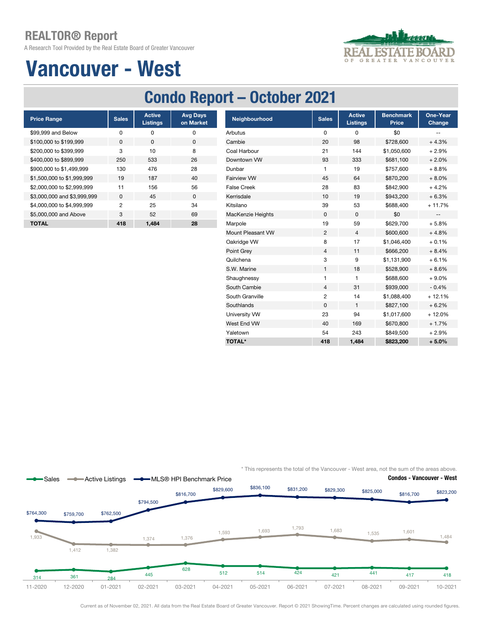A Research Tool Provided by the Real Estate Board of Greater Vancouver



## Vancouver - West

### Condo Report – October 2021

| <b>Price Range</b>          | <b>Sales</b>   | <b>Active</b><br><b>Listings</b> | <b>Avg Days</b><br>on Market |
|-----------------------------|----------------|----------------------------------|------------------------------|
| \$99,999 and Below          | O              | ŋ                                | 0                            |
| \$100,000 to \$199,999      | <sup>0</sup>   | <sup>0</sup>                     | $\Omega$                     |
| \$200,000 to \$399,999      | 3              | 10                               | 8                            |
| \$400,000 to \$899,999      | 250            | 533                              | 26                           |
| \$900,000 to \$1,499,999    | 130            | 476                              | 28                           |
| \$1,500,000 to \$1,999,999  | 19             | 187                              | 40                           |
| \$2,000,000 to \$2,999,999  | 11             | 156                              | 56                           |
| \$3,000,000 and \$3,999,999 | $\Omega$       | 45                               | $\Omega$                     |
| \$4,000,000 to \$4,999,999  | $\mathfrak{p}$ | 25                               | 34                           |
| \$5,000,000 and Above       | 3              | 52                               | 69                           |
| ΤΟΤΑL                       | 418            | 1.484                            | 28                           |

| <b>Price Range</b>          | <b>Sales</b>   | <b>Active</b><br><b>Listings</b> | <b>Avg Days</b><br>on Market | Neighbourhood      | <b>Sales</b>   | <b>Active</b><br><b>Listings</b> | <b>Benchmark</b><br>Price | One-Year<br>Change       |
|-----------------------------|----------------|----------------------------------|------------------------------|--------------------|----------------|----------------------------------|---------------------------|--------------------------|
| \$99,999 and Below          | 0              | 0                                | 0                            | Arbutus            | 0              | 0                                | \$0                       | $\overline{\phantom{m}}$ |
| \$100,000 to \$199,999      | $\mathbf 0$    | $\mathbf 0$                      | $\mathbf 0$                  | Cambie             | 20             | 98                               | \$728,600                 | $+4.3%$                  |
| \$200,000 to \$399,999      | 3              | 10                               | 8                            | Coal Harbour       | 21             | 144                              | \$1,050,600               | $+2.9%$                  |
| \$400,000 to \$899.999      | 250            | 533                              | 26                           | Downtown VW        | 93             | 333                              | \$681,100                 | $+2.0%$                  |
| \$900,000 to \$1,499,999    | 130            | 476                              | 28                           | Dunbar             | 1              | 19                               | \$757,600                 | $+8.8%$                  |
| \$1,500,000 to \$1,999,999  | 19             | 187                              | 40                           | <b>Fairview VW</b> | 45             | 64                               | \$870,200                 | $+8.0%$                  |
| \$2,000,000 to \$2,999,999  | 11             | 156                              | 56                           | <b>False Creek</b> | 28             | 83                               | \$842,900                 | $+4.2%$                  |
| \$3,000,000 and \$3,999,999 | 0              | 45                               | 0                            | Kerrisdale         | 10             | 19                               | \$943,200                 | $+6.3%$                  |
| \$4,000,000 to \$4,999,999  | $\overline{c}$ | 25                               | 34                           | Kitsilano          | 39             | 53                               | \$688,400                 | $+11.7%$                 |
| \$5,000,000 and Above       | 3              | 52                               | 69                           | MacKenzie Heights  | 0              | 0                                | \$0                       | --                       |
| <b>TOTAL</b>                | 418            | 1,484                            | 28                           | Marpole            | 19             | 59                               | \$629,700                 | $+5.8%$                  |
|                             |                |                                  |                              | Mount Pleasant VW  | $\overline{2}$ | 4                                | \$600,600                 | $+4.8%$                  |
|                             |                |                                  |                              | Oakridge VW        | 8              | 17                               | \$1,046,400               | $+0.1%$                  |
|                             |                |                                  |                              | Point Grey         | $\overline{4}$ | 11                               | \$666,200                 | $+8.4%$                  |
|                             |                |                                  |                              | Quilchena          | 3              | 9                                | \$1,131,900               | $+6.1%$                  |
|                             |                |                                  |                              | S.W. Marine        | $\mathbf{1}$   | 18                               | \$528,900                 | $+8.6%$                  |
|                             |                |                                  |                              | Shaughnessy        |                |                                  | \$688,600                 | $+9.0%$                  |
|                             |                |                                  |                              | South Cambie       | $\overline{4}$ | 31                               | \$939,000                 | $-0.4%$                  |
|                             |                |                                  |                              | South Granville    | $\overline{2}$ | 14                               | \$1,088,400               | $+12.1%$                 |
|                             |                |                                  |                              | Southlands         | $\mathbf 0$    | $\mathbf{1}$                     | \$827,100                 | $+6.2%$                  |
|                             |                |                                  |                              | University VW      | 23             | 94                               | \$1,017,600               | $+12.0%$                 |
|                             |                |                                  |                              | West End VW        | 40             | 169                              | \$670,800                 | $+1.7%$                  |
|                             |                |                                  |                              | Yaletown           | 54             | 243                              | \$849,500                 | $+2.9%$                  |
|                             |                |                                  |                              | <b>TOTAL*</b>      | 418            | 1,484                            | \$823,200                 | $+5.0%$                  |

\* This represents the total of the Vancouver - West area, not the sum of the areas above.



Current as of November 02, 2021. All data from the Real Estate Board of Greater Vancouver. Report © 2021 ShowingTime. Percent changes are calculated using rounded figures.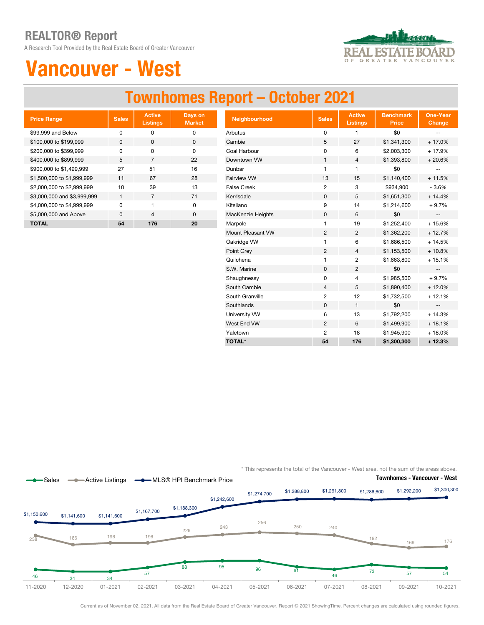A Research Tool Provided by the Real Estate Board of Greater Vancouver



## Vancouver - West

### Townhomes Report – October 2021

| <b>Price Range</b>          | <b>Sales</b> | <b>Active</b><br><b>Listings</b> | Days on<br><b>Market</b> |
|-----------------------------|--------------|----------------------------------|--------------------------|
| \$99,999 and Below          | ŋ            | ŋ                                | O                        |
| \$100,000 to \$199,999      | $\Omega$     | O                                | 0                        |
| \$200,000 to \$399,999      | O            | O                                | O                        |
| \$400,000 to \$899,999      | 5            | 7                                | 22                       |
| \$900,000 to \$1,499,999    | 27           | 51                               | 16                       |
| \$1,500,000 to \$1,999,999  | 11           | 67                               | 28                       |
| \$2,000,000 to \$2,999,999  | 10           | 39                               | 13                       |
| \$3,000,000 and \$3,999,999 | 1            | 7                                | 71                       |
| \$4,000,000 to \$4,999,999  | U            | 1                                | O                        |
| \$5,000,000 and Above       | $\Omega$     | 4                                | $\Omega$                 |
| TOTAL                       | 54           | 176                              | 20                       |

| <b>Price Range</b>          | <b>Sales</b> | <b>Active</b><br><b>Listings</b> | Days on<br><b>Market</b> | Neighbourhood      | <b>Sales</b>   | <b>Active</b><br><b>Listings</b> | <b>Benchmark</b><br><b>Price</b> | <b>One-Year</b><br>Change                     |
|-----------------------------|--------------|----------------------------------|--------------------------|--------------------|----------------|----------------------------------|----------------------------------|-----------------------------------------------|
| \$99,999 and Below          | $\pmb{0}$    | 0                                | 0                        | Arbutus            | 0              |                                  | \$0                              | $\overline{\phantom{a}}$                      |
| \$100,000 to \$199,999      | $\mathbf 0$  | $\mathbf 0$                      | $\mathbf 0$              | Cambie             | 5              | 27                               | \$1,341,300                      | $+17.0%$                                      |
| \$200,000 to \$399.999      | $\mathbf 0$  | $\mathbf 0$                      | $\mathbf 0$              | Coal Harbour       | 0              | 6                                | \$2,003,300                      | $+17.9%$                                      |
| \$400,000 to \$899,999      | 5            | $\overline{7}$                   | 22                       | Downtown VW        | $\mathbf{1}$   | 4                                | \$1,393,800                      | $+20.6%$                                      |
| \$900,000 to \$1,499,999    | 27           | 51                               | 16                       | Dunbar             |                |                                  | \$0                              |                                               |
| \$1,500,000 to \$1,999,999  | 11           | 67                               | 28                       | <b>Fairview VW</b> | 13             | 15                               | \$1,140,400                      | $+11.5%$                                      |
| \$2,000,000 to \$2,999,999  | 10           | 39                               | 13                       | <b>False Creek</b> | $\overline{c}$ | 3                                | \$934,900                        | $-3.6%$                                       |
| \$3,000,000 and \$3,999,999 | $\mathbf{1}$ | $\overline{7}$                   | 71                       | Kerrisdale         | 0              | 5                                | \$1,651,300                      | $+14.4%$                                      |
| \$4,000,000 to \$4,999,999  | $\mathbf 0$  | $\mathbf{1}$                     | 0                        | Kitsilano          | 9              | 14                               | \$1,214,600                      | $+9.7%$                                       |
| \$5,000,000 and Above       | 0            | $\overline{4}$                   | 0                        | MacKenzie Heights  | 0              | 6                                | \$0                              | $\mathord{\hspace{1pt}\text{--}\hspace{1pt}}$ |
| <b>TOTAL</b>                | 54           | 176                              | 20                       | Marpole            | 1              | 19                               | \$1,252,400                      | $+15.6%$                                      |
|                             |              |                                  |                          | Mount Pleasant VW  | $\overline{c}$ | $\overline{2}$                   | \$1,362,200                      | $+12.7%$                                      |
|                             |              |                                  |                          | Oakridge VW        | 1              | 6                                | \$1,686,500                      | $+14.5%$                                      |
|                             |              |                                  |                          | Point Grey         | $\overline{2}$ | 4                                | \$1,153,500                      | $+10.8%$                                      |
|                             |              |                                  |                          | Quilchena          | 1              | $\overline{c}$                   | \$1,663,800                      | $+15.1%$                                      |
|                             |              |                                  |                          | S.W. Marine        | $\mathbf 0$    | $\overline{2}$                   | \$0                              | $\overline{\phantom{a}}$                      |
|                             |              |                                  |                          | Shaughnessy        | 0              | 4                                | \$1,985,500                      | $+9.7%$                                       |
|                             |              |                                  |                          | South Cambie       | $\overline{4}$ | 5                                | \$1,890,400                      | $+12.0%$                                      |
|                             |              |                                  |                          | South Granville    | 2              | 12                               | \$1,732,500                      | $+12.1%$                                      |
|                             |              |                                  |                          | Southlands         | $\mathbf{0}$   | $\mathbf{1}$                     | \$0                              | $\overline{\phantom{a}}$                      |
|                             |              |                                  |                          | University VW      | 6              | 13                               | \$1,792,200                      | $+14.3%$                                      |
|                             |              |                                  |                          | West End VW        | $\overline{2}$ | 6                                | \$1,499,900                      | $+18.1%$                                      |
|                             |              |                                  |                          | Yaletown           | $\overline{c}$ | 18                               | \$1,945,900                      | $+18.0%$                                      |
|                             |              |                                  |                          | <b>TOTAL*</b>      | 54             | 176                              | \$1,300,300                      | $+12.3%$                                      |

\* This represents the total of the Vancouver - West area, not the sum of the areas above.



Current as of November 02, 2021. All data from the Real Estate Board of Greater Vancouver. Report © 2021 ShowingTime. Percent changes are calculated using rounded figures.